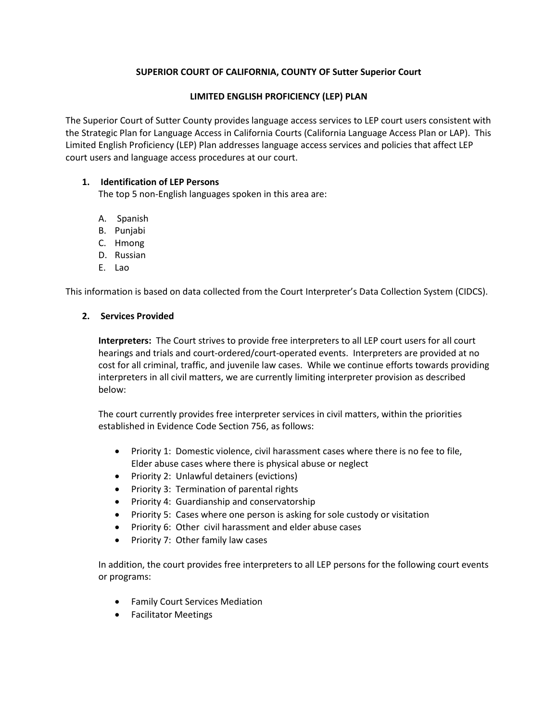# **SUPERIOR COURT OF CALIFORNIA, COUNTY OF Sutter Superior Court**

### **LIMITED ENGLISH PROFICIENCY (LEP) PLAN**

The Superior Court of Sutter County provides language access services to LEP court users consistent with the Strategic Plan for Language Access in California Courts (California Language Access Plan or LAP). This Limited English Proficiency (LEP) Plan addresses language access services and policies that affect LEP court users and language access procedures at our court.

### **1. Identification of LEP Persons**

The top 5 non-English languages spoken in this area are:

- A. Spanish
- B. Punjabi
- C. Hmong
- D. Russian
- E. Lao

This information is based on data collected from the Court Interpreter's Data Collection System (CIDCS).

### **2. Services Provided**

**Interpreters:** The Court strives to provide free interpreters to all LEP court users for all court hearings and trials and court-ordered/court-operated events. Interpreters are provided at no cost for all criminal, traffic, and juvenile law cases. While we continue efforts towards providing interpreters in all civil matters, we are currently limiting interpreter provision as described below:

The court currently provides free interpreter services in civil matters, within the priorities established in Evidence Code Section 756, as follows:

- Priority 1: Domestic violence, civil harassment cases where there is no fee to file, Elder abuse cases where there is physical abuse or neglect
- Priority 2: Unlawful detainers (evictions)
- Priority 3: Termination of parental rights
- Priority 4: Guardianship and conservatorship
- Priority 5: Cases where one person is asking for sole custody or visitation
- Priority 6: Other civil harassment and elder abuse cases
- Priority 7: Other family law cases

In addition, the court provides free interpreters to all LEP persons for the following court events or programs:

- Family Court Services Mediation
- Facilitator Meetings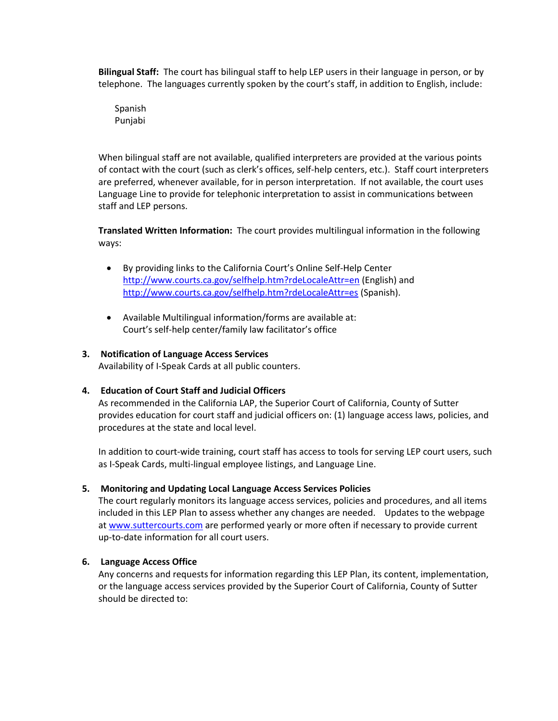**Bilingual Staff:** The court has bilingual staff to help LEP users in their language in person, or by telephone. The languages currently spoken by the court's staff, in addition to English, include:

Spanish Punjabi

When bilingual staff are not available, qualified interpreters are provided at the various points of contact with the court (such as clerk's offices, self-help centers, etc.). Staff court interpreters are preferred, whenever available, for in person interpretation. If not available, the court uses Language Line to provide for telephonic interpretation to assist in communications between staff and LEP persons.

**Translated Written Information:** The court provides multilingual information in the following ways:

- By providing links to the California Court's Online Self-Help Center <http://www.courts.ca.gov/selfhelp.htm?rdeLocaleAttr=en> (English) and <http://www.courts.ca.gov/selfhelp.htm?rdeLocaleAttr=es> (Spanish).
- Available Multilingual information/forms are available at: Court's self-help center/family law facilitator's office

## **3. Notification of Language Access Services**

Availability of I-Speak Cards at all public counters.

### **4. Education of Court Staff and Judicial Officers**

As recommended in the California LAP, the Superior Court of California, County of Sutter provides education for court staff and judicial officers on: (1) language access laws, policies, and procedures at the state and local level.

In addition to court-wide training, court staff has access to tools for serving LEP court users, such as I-Speak Cards, multi-lingual employee listings, and Language Line.

### **5. Monitoring and Updating Local Language Access Services Policies**

The court regularly monitors its language access services, policies and procedures, and all items included in this LEP Plan to assess whether any changes are needed. Updates to the webpage a[t www.suttercourts.com](http://www.suttercourts.com/) are performed yearly or more often if necessary to provide current up-to-date information for all court users.

### **6. Language Access Office**

Any concerns and requests for information regarding this LEP Plan, its content, implementation, or the language access services provided by the Superior Court of California, County of Sutter should be directed to: